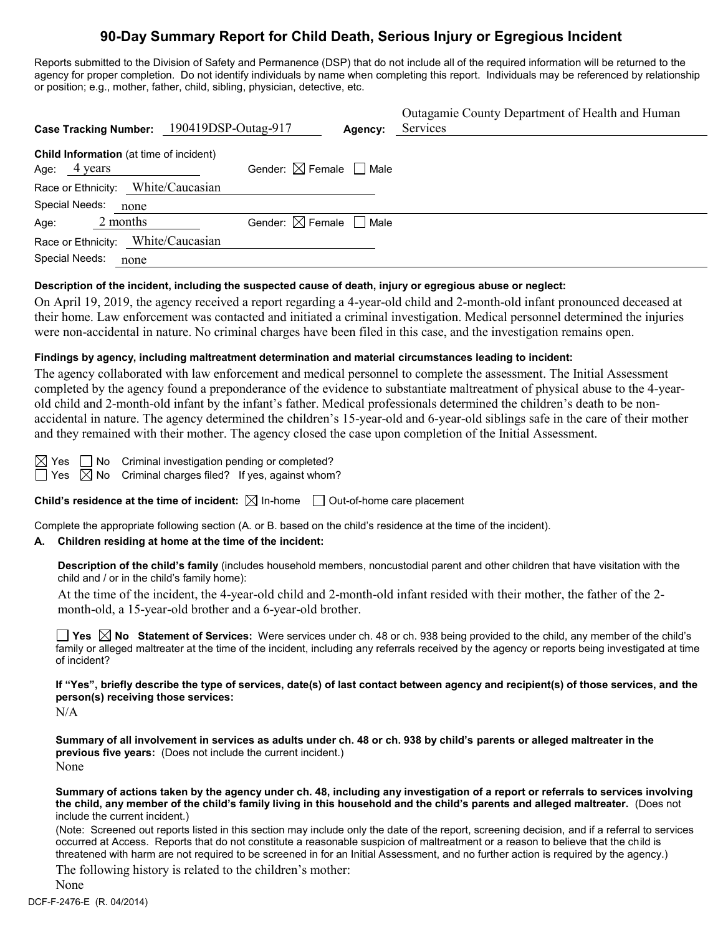# **90-Day Summary Report for Child Death, Serious Injury or Egregious Incident**

Reports submitted to the Division of Safety and Permanence (DSP) that do not include all of the required information will be returned to the agency for proper completion. Do not identify individuals by name when completing this report. Individuals may be referenced by relationship or position; e.g., mother, father, child, sibling, physician, detective, etc.

| <b>Case Tracking Number:</b>                                      | 190419DSP-Outag-917                    | Agency: | Outagamie County Department of Health and Human<br>Services |
|-------------------------------------------------------------------|----------------------------------------|---------|-------------------------------------------------------------|
| <b>Child Information</b> (at time of incident)<br>4 years<br>Age: | Gender: $\boxtimes$ Female $\Box$ Male |         |                                                             |
| Race or Ethnicity:                                                | White/Caucasian                        |         |                                                             |
| Special Needs:<br>none                                            |                                        |         |                                                             |
| 2 months<br>Age:                                                  | Gender: $\boxtimes$ Female $\Box$ Male |         |                                                             |
| Race or Ethnicity:                                                | White/Caucasian                        |         |                                                             |
| Special Needs:<br>none                                            |                                        |         |                                                             |

### **Description of the incident, including the suspected cause of death, injury or egregious abuse or neglect:**

On April 19, 2019, the agency received a report regarding a 4-year-old child and 2-month-old infant pronounced deceased at their home. Law enforcement was contacted and initiated a criminal investigation. Medical personnel determined the injuries were non-accidental in nature. No criminal charges have been filed in this case, and the investigation remains open.

### **Findings by agency, including maltreatment determination and material circumstances leading to incident:**

The agency collaborated with law enforcement and medical personnel to complete the assessment. The Initial Assessment completed by the agency found a preponderance of the evidence to substantiate maltreatment of physical abuse to the 4-yearold child and 2-month-old infant by the infant's father. Medical professionals determined the children's death to be nonaccidental in nature. The agency determined the children's 15-year-old and 6-year-old siblings safe in the care of their mother and they remained with their mother. The agency closed the case upon completion of the Initial Assessment.

 $\boxtimes$  Yes  $\Box$  No Criminal investigation pending or completed?  $\Box$  Yes  $\boxtimes$  No Criminal charges filed? If yes, against whom?

**Child's residence at the time of incident:**  $\boxtimes$  In-home  $\Box$  Out-of-home care placement

Complete the appropriate following section (A. or B. based on the child's residence at the time of the incident).

#### **A. Children residing at home at the time of the incident:**

**Description of the child's family** (includes household members, noncustodial parent and other children that have visitation with the child and / or in the child's family home):

At the time of the incident, the 4-year-old child and 2-month-old infant resided with their mother, the father of the 2 month-old, a 15-year-old brother and a 6-year-old brother.

**Yes No Statement of Services:** Were services under ch. 48 or ch. 938 being provided to the child, any member of the child's family or alleged maltreater at the time of the incident, including any referrals received by the agency or reports being investigated at time of incident?

**If "Yes", briefly describe the type of services, date(s) of last contact between agency and recipient(s) of those services, and the person(s) receiving those services:**

 $N/A$ 

**Summary of all involvement in services as adults under ch. 48 or ch. 938 by child's parents or alleged maltreater in the previous five years:** (Does not include the current incident.) None

**Summary of actions taken by the agency under ch. 48, including any investigation of a report or referrals to services involving the child, any member of the child's family living in this household and the child's parents and alleged maltreater.** (Does not include the current incident.)

(Note: Screened out reports listed in this section may include only the date of the report, screening decision, and if a referral to services occurred at Access. Reports that do not constitute a reasonable suspicion of maltreatment or a reason to believe that the child is threatened with harm are not required to be screened in for an Initial Assessment, and no further action is required by the agency.)

The following history is related to the children's mother:

None